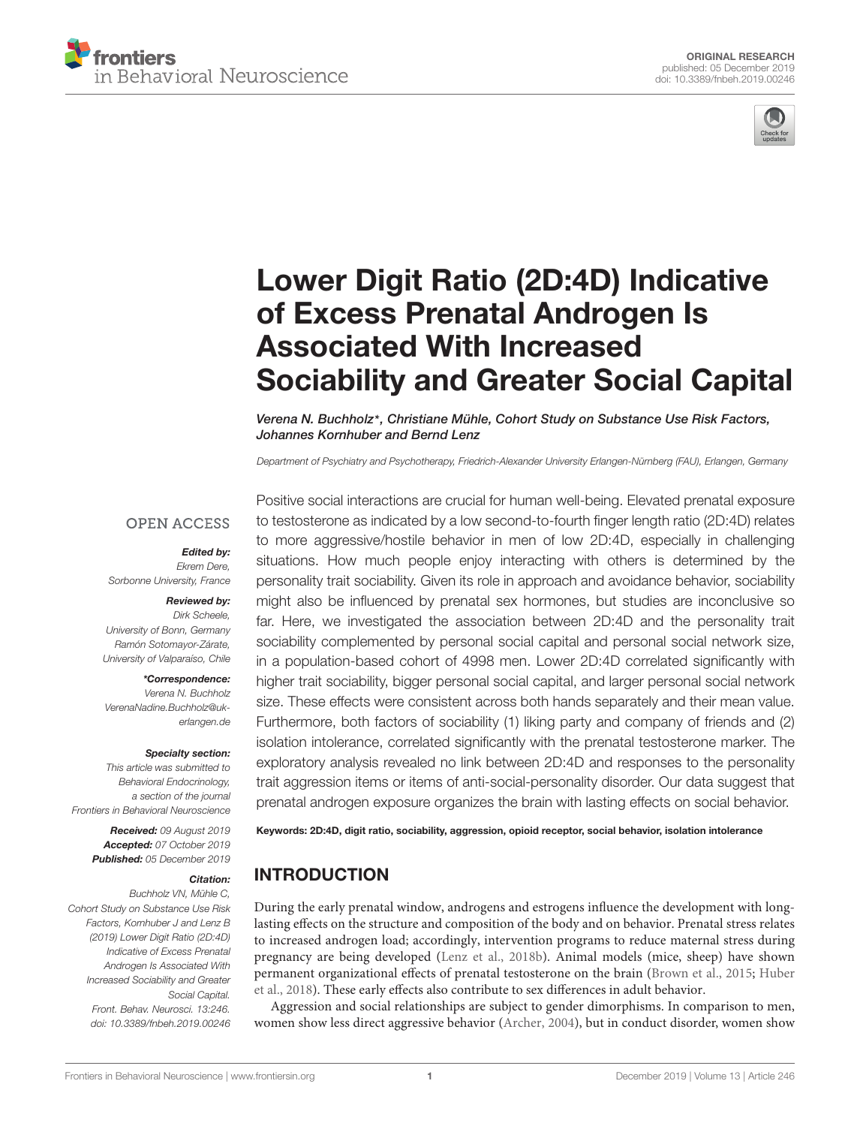



# Lower Digit Ratio (2D:4D) Indicative of Excess Prenatal Androgen Is Associated With Increased [Sociability and Greater Social Capital](https://www.frontiersin.org/articles/10.3389/fnbeh.2019.00246/full)

[Verena N. Buchholz](http://loop.frontiersin.org/people/783874/overview)\*, [Christiane Mühle,](http://loop.frontiersin.org/people/750416/overview) Cohort Study on Substance Use Risk Factors, [Johannes Kornhuber](http://loop.frontiersin.org/people/290550/overview) and [Bernd Lenz](http://loop.frontiersin.org/people/655172/overview)

Department of Psychiatry and Psychotherapy, Friedrich-Alexander University Erlangen-Nürnberg (FAU), Erlangen, Germany

#### **OPEN ACCESS**

#### Edited by:

Ekrem Dere, Sorbonne University, France

# Reviewed by:

Dirk Scheele, University of Bonn, Germany Ramón Sotomayor-Zárate, University of Valparaíso, Chile

#### \*Correspondence:

Verena N. Buchholz VerenaNadine.Buchholz@ukerlangen.de

#### Specialty section:

This article was submitted to Behavioral Endocrinology, a section of the journal Frontiers in Behavioral Neuroscience

> Received: 09 August 2019 Accepted: 07 October 2019 Published: 05 December 2019

#### Citation:

Buchholz VN, Mühle C, Cohort Study on Substance Use Risk Factors, Kornhuber J and Lenz B (2019) Lower Digit Ratio (2D:4D) Indicative of Excess Prenatal Androgen Is Associated With Increased Sociability and Greater Social Capital. Front. Behav. Neurosci. 13:246. doi: [10.3389/fnbeh.2019.00246](https://doi.org/10.3389/fnbeh.2019.00246) Positive social interactions are crucial for human well-being. Elevated prenatal exposure to testosterone as indicated by a low second-to-fourth finger length ratio (2D:4D) relates to more aggressive/hostile behavior in men of low 2D:4D, especially in challenging situations. How much people enjoy interacting with others is determined by the personality trait sociability. Given its role in approach and avoidance behavior, sociability might also be influenced by prenatal sex hormones, but studies are inconclusive so far. Here, we investigated the association between 2D:4D and the personality trait sociability complemented by personal social capital and personal social network size, in a population-based cohort of 4998 men. Lower 2D:4D correlated significantly with higher trait sociability, bigger personal social capital, and larger personal social network size. These effects were consistent across both hands separately and their mean value. Furthermore, both factors of sociability (1) liking party and company of friends and (2) isolation intolerance, correlated significantly with the prenatal testosterone marker. The exploratory analysis revealed no link between 2D:4D and responses to the personality trait aggression items or items of anti-social-personality disorder. Our data suggest that prenatal androgen exposure organizes the brain with lasting effects on social behavior.

Keywords: 2D:4D, digit ratio, sociability, aggression, opioid receptor, social behavior, isolation intolerance

# INTRODUCTION

During the early prenatal window, androgens and estrogens influence the development with longlasting effects on the structure and composition of the body and on behavior. Prenatal stress relates to increased androgen load; accordingly, intervention programs to reduce maternal stress during pregnancy are being developed [\(Lenz et al.,](#page-8-0) [2018b\)](#page-8-0). Animal models (mice, sheep) have shown permanent organizational effects of prenatal testosterone on the brain [\(Brown et al.,](#page-7-0) [2015;](#page-7-0) [Huber](#page-8-1) [et al.,](#page-8-1) [2018\)](#page-8-1). These early effects also contribute to sex differences in adult behavior.

Aggression and social relationships are subject to gender dimorphisms. In comparison to men, women show less direct aggressive behavior [\(Archer,](#page-7-1) [2004\)](#page-7-1), but in conduct disorder, women show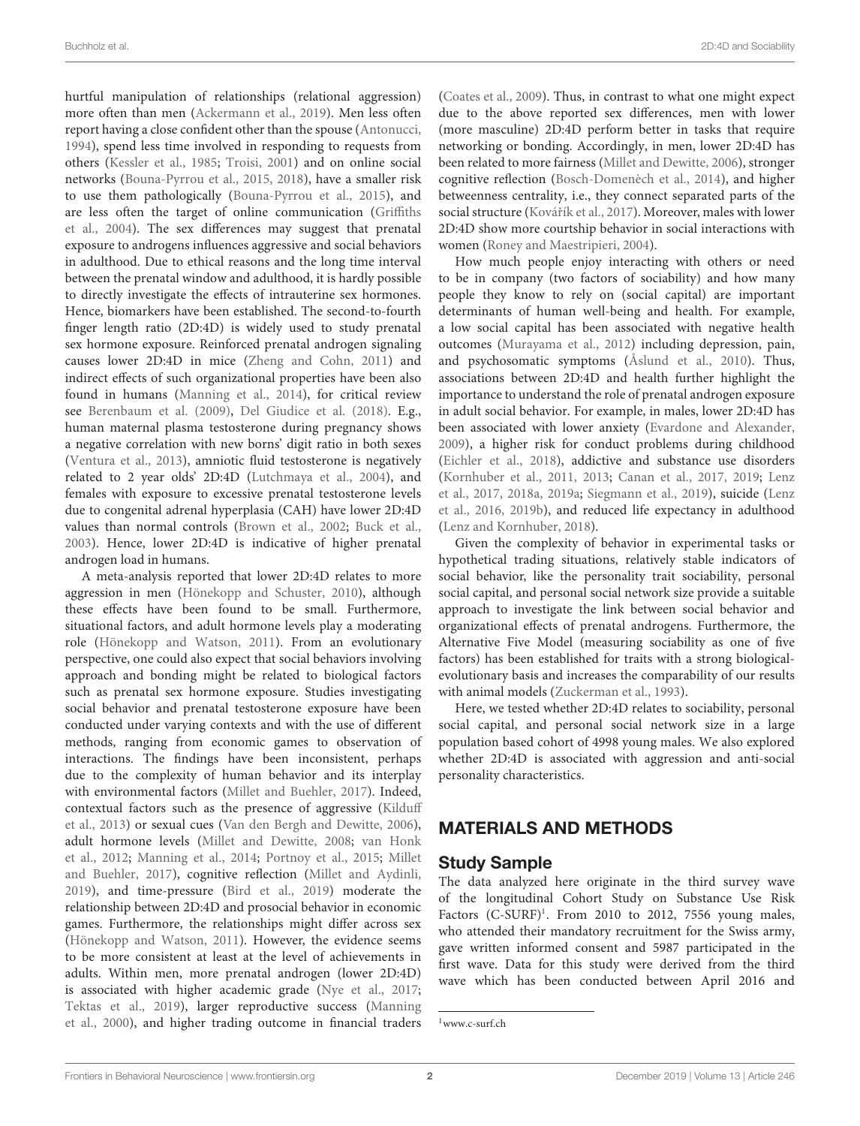hurtful manipulation of relationships (relational aggression) more often than men [\(Ackermann et al.,](#page-7-2) [2019\)](#page-7-2). Men less often report having a close confident other than the spouse [\(Antonucci,](#page-7-3) [1994\)](#page-7-3), spend less time involved in responding to requests from others [\(Kessler et al.,](#page-8-2) [1985;](#page-8-2) [Troisi,](#page-9-0) [2001\)](#page-9-0) and on online social networks [\(Bouna-Pyrrou et al.,](#page-7-4) [2015,](#page-7-4) [2018\)](#page-7-5), have a smaller risk to use them pathologically [\(Bouna-Pyrrou et al.,](#page-7-4) [2015\)](#page-7-4), and are less often the target of online communication [\(Griffiths](#page-8-3) [et al.,](#page-8-3) [2004\)](#page-8-3). The sex differences may suggest that prenatal exposure to androgens influences aggressive and social behaviors in adulthood. Due to ethical reasons and the long time interval between the prenatal window and adulthood, it is hardly possible to directly investigate the effects of intrauterine sex hormones. Hence, biomarkers have been established. The second-to-fourth finger length ratio (2D:4D) is widely used to study prenatal sex hormone exposure. Reinforced prenatal androgen signaling causes lower 2D:4D in mice [\(Zheng and Cohn,](#page-9-1) [2011\)](#page-9-1) and indirect effects of such organizational properties have been also found in humans [\(Manning et al.,](#page-8-4) [2014\)](#page-8-4), for critical review see [Berenbaum et al.](#page-7-6) [\(2009\)](#page-7-6), [Del Giudice et al.](#page-8-5) [\(2018\)](#page-8-5). E.g., human maternal plasma testosterone during pregnancy shows a negative correlation with new borns' digit ratio in both sexes [\(Ventura et al.,](#page-9-2) [2013\)](#page-9-2), amniotic fluid testosterone is negatively related to 2 year olds' 2D:4D [\(Lutchmaya et al.,](#page-8-6) [2004\)](#page-8-6), and females with exposure to excessive prenatal testosterone levels due to congenital adrenal hyperplasia (CAH) have lower 2D:4D values than normal controls [\(Brown et al.,](#page-7-7) [2002;](#page-7-7) [Buck et al.,](#page-7-8) [2003\)](#page-7-8). Hence, lower 2D:4D is indicative of higher prenatal androgen load in humans.

A meta-analysis reported that lower 2D:4D relates to more aggression in men [\(Hönekopp and Schuster,](#page-8-7) [2010\)](#page-8-7), although these effects have been found to be small. Furthermore, situational factors, and adult hormone levels play a moderating role [\(Hönekopp and Watson,](#page-8-8) [2011\)](#page-8-8). From an evolutionary perspective, one could also expect that social behaviors involving approach and bonding might be related to biological factors such as prenatal sex hormone exposure. Studies investigating social behavior and prenatal testosterone exposure have been conducted under varying contexts and with the use of different methods, ranging from economic games to observation of interactions. The findings have been inconsistent, perhaps due to the complexity of human behavior and its interplay with environmental factors [\(Millet and Buehler,](#page-8-9) [2017\)](#page-8-9). Indeed, contextual factors such as the presence of aggressive [\(Kilduff](#page-8-10) [et al.,](#page-8-10) [2013\)](#page-8-10) or sexual cues [\(Van den Bergh and Dewitte,](#page-9-3) [2006\)](#page-9-3), adult hormone levels [\(Millet and Dewitte,](#page-9-4) [2008;](#page-9-4) [van Honk](#page-9-5) [et al.,](#page-9-5) [2012;](#page-9-5) [Manning et al.,](#page-8-4) [2014;](#page-8-4) [Portnoy et al.,](#page-9-6) [2015;](#page-9-6) [Millet](#page-8-9) [and Buehler,](#page-8-9) [2017\)](#page-8-9), cognitive reflection [\(Millet and Aydinli,](#page-8-11) [2019\)](#page-8-11), and time-pressure [\(Bird et al.,](#page-7-9) [2019\)](#page-7-9) moderate the relationship between 2D:4D and prosocial behavior in economic games. Furthermore, the relationships might differ across sex [\(Hönekopp and Watson,](#page-8-8) [2011\)](#page-8-8). However, the evidence seems to be more consistent at least at the level of achievements in adults. Within men, more prenatal androgen (lower 2D:4D) is associated with higher academic grade [\(Nye et al.,](#page-9-7) [2017;](#page-9-7) [Tektas et al.,](#page-9-8) [2019\)](#page-9-8), larger reproductive success [\(Manning](#page-8-12) [et al.,](#page-8-12) [2000\)](#page-8-12), and higher trading outcome in financial traders

[\(Coates et al.,](#page-7-10) [2009\)](#page-7-10). Thus, in contrast to what one might expect due to the above reported sex differences, men with lower (more masculine) 2D:4D perform better in tasks that require networking or bonding. Accordingly, in men, lower 2D:4D has been related to more fairness [\(Millet and Dewitte,](#page-8-13) [2006\)](#page-8-13), stronger cognitive reflection [\(Bosch-Domenèch et al.,](#page-7-11) [2014\)](#page-7-11), and higher betweenness centrality, i.e., they connect separated parts of the social structure (Kovářík et al., [2017\)](#page-8-14). Moreover, males with lower 2D:4D show more courtship behavior in social interactions with women [\(Roney and Maestripieri,](#page-9-9) [2004\)](#page-9-9).

How much people enjoy interacting with others or need to be in company (two factors of sociability) and how many people they know to rely on (social capital) are important determinants of human well-being and health. For example, a low social capital has been associated with negative health outcomes [\(Murayama et al.,](#page-9-10) [2012\)](#page-9-10) including depression, pain, and psychosomatic symptoms [\(Åslund et al.,](#page-7-12) [2010\)](#page-7-12). Thus, associations between 2D:4D and health further highlight the importance to understand the role of prenatal androgen exposure in adult social behavior. For example, in males, lower 2D:4D has been associated with lower anxiety [\(Evardone and Alexander,](#page-8-15) [2009\)](#page-8-15), a higher risk for conduct problems during childhood [\(Eichler et al.,](#page-8-16) [2018\)](#page-8-16), addictive and substance use disorders [\(Kornhuber et al.,](#page-8-17) [2011,](#page-8-17) [2013;](#page-8-18) [Canan et al.,](#page-7-13) [2017,](#page-7-13) [2019;](#page-7-14) [Lenz](#page-8-19) [et al.,](#page-8-19) [2017,](#page-8-19) [2018a,](#page-8-20) [2019a;](#page-8-21) [Siegmann et al.,](#page-9-11) [2019\)](#page-9-11), suicide [\(Lenz](#page-8-22) [et al.,](#page-8-22) [2016,](#page-8-22) [2019b\)](#page-8-23), and reduced life expectancy in adulthood [\(Lenz and Kornhuber,](#page-8-24) [2018\)](#page-8-24).

Given the complexity of behavior in experimental tasks or hypothetical trading situations, relatively stable indicators of social behavior, like the personality trait sociability, personal social capital, and personal social network size provide a suitable approach to investigate the link between social behavior and organizational effects of prenatal androgens. Furthermore, the Alternative Five Model (measuring sociability as one of five factors) has been established for traits with a strong biologicalevolutionary basis and increases the comparability of our results with animal models [\(Zuckerman et al.,](#page-9-12) [1993\)](#page-9-12).

Here, we tested whether 2D:4D relates to sociability, personal social capital, and personal social network size in a large population based cohort of 4998 young males. We also explored whether 2D:4D is associated with aggression and anti-social personality characteristics.

## MATERIALS AND METHODS

#### Study Sample

The data analyzed here originate in the third survey wave of the longitudinal Cohort Study on Substance Use Risk Factors (C-SURF)<sup>[1](#page-1-0)</sup>. From 2010 to 2012, 7556 young males, who attended their mandatory recruitment for the Swiss army, gave written informed consent and 5987 participated in the first wave. Data for this study were derived from the third wave which has been conducted between April 2016 and

<span id="page-1-0"></span><sup>1</sup>[www.c-surf.ch](http://www.c-surf.ch)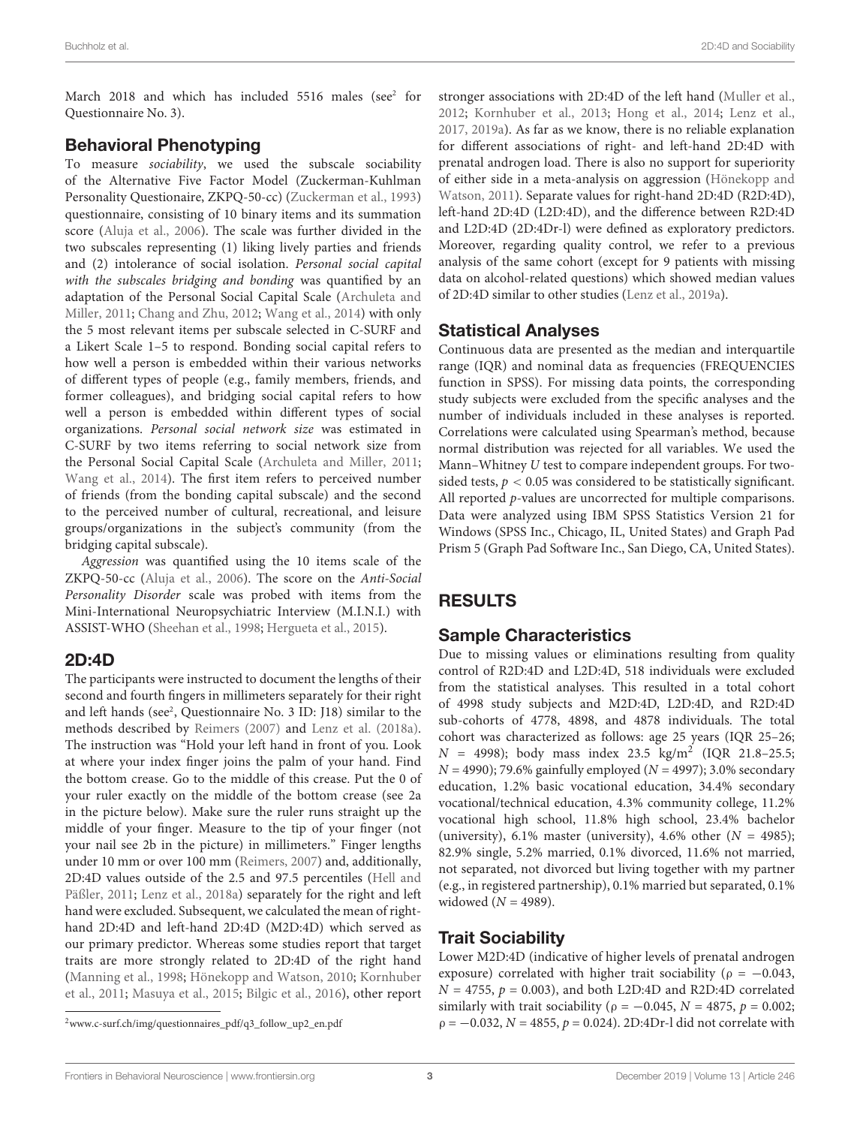March [2](#page-2-0)018 and which has included 5516 males (see<sup>2</sup> for Questionnaire No. 3).

## Behavioral Phenotyping

To measure sociability, we used the subscale sociability of the Alternative Five Factor Model (Zuckerman-Kuhlman Personality Questionaire, ZKPQ-50-cc) [\(Zuckerman et al.,](#page-9-12) [1993\)](#page-9-12) questionnaire, consisting of 10 binary items and its summation score [\(Aluja et al.,](#page-7-15) [2006\)](#page-7-15). The scale was further divided in the two subscales representing (1) liking lively parties and friends and (2) intolerance of social isolation. Personal social capital with the subscales bridging and bonding was quantified by an adaptation of the Personal Social Capital Scale [\(Archuleta and](#page-7-16) [Miller,](#page-7-16) [2011;](#page-7-16) [Chang and Zhu,](#page-7-17) [2012;](#page-7-17) [Wang et al.,](#page-9-13) [2014\)](#page-9-13) with only the 5 most relevant items per subscale selected in C-SURF and a Likert Scale 1–5 to respond. Bonding social capital refers to how well a person is embedded within their various networks of different types of people (e.g., family members, friends, and former colleagues), and bridging social capital refers to how well a person is embedded within different types of social organizations. Personal social network size was estimated in C-SURF by two items referring to social network size from the Personal Social Capital Scale [\(Archuleta and Miller,](#page-7-16) [2011;](#page-7-16) [Wang et al.,](#page-9-13) [2014\)](#page-9-13). The first item refers to perceived number of friends (from the bonding capital subscale) and the second to the perceived number of cultural, recreational, and leisure groups/organizations in the subject's community (from the bridging capital subscale).

Aggression was quantified using the 10 items scale of the ZKPQ-50-cc [\(Aluja et al.,](#page-7-15) [2006\)](#page-7-15). The score on the Anti-Social Personality Disorder scale was probed with items from the Mini-International Neuropsychiatric Interview (M.I.N.I.) with ASSIST-WHO [\(Sheehan et al.,](#page-9-14) [1998;](#page-9-14) [Hergueta et al.,](#page-8-25) [2015\)](#page-8-25).

#### 2D:4D

The participants were instructed to document the lengths of their second and fourth fingers in millimeters separately for their right and left hands (see<sup>2</sup>, Questionnaire No. 3 ID: J18) similar to the methods described by [Reimers](#page-9-15) [\(2007\)](#page-9-15) and [Lenz et al.](#page-8-20) [\(2018a\)](#page-8-20). The instruction was "Hold your left hand in front of you. Look at where your index finger joins the palm of your hand. Find the bottom crease. Go to the middle of this crease. Put the 0 of your ruler exactly on the middle of the bottom crease (see 2a in the picture below). Make sure the ruler runs straight up the middle of your finger. Measure to the tip of your finger (not your nail see 2b in the picture) in millimeters." Finger lengths under 10 mm or over 100 mm [\(Reimers,](#page-9-15) [2007\)](#page-9-15) and, additionally, 2D:4D values outside of the 2.5 and 97.5 percentiles [\(Hell and](#page-8-26) [Päßler,](#page-8-26) [2011;](#page-8-26) [Lenz et al.,](#page-8-20) [2018a\)](#page-8-20) separately for the right and left hand were excluded. Subsequent, we calculated the mean of righthand 2D:4D and left-hand 2D:4D (M2D:4D) which served as our primary predictor. Whereas some studies report that target traits are more strongly related to 2D:4D of the right hand [\(Manning et al.,](#page-8-27) [1998;](#page-8-27) [Hönekopp and Watson,](#page-8-28) [2010;](#page-8-28) [Kornhuber](#page-8-17) [et al.,](#page-8-17) [2011;](#page-8-17) [Masuya et al.,](#page-8-29) [2015;](#page-8-29) [Bilgic et al.,](#page-7-18) [2016\)](#page-7-18), other report

stronger associations with 2D:4D of the left hand [\(Muller et al.,](#page-9-16) [2012;](#page-9-16) [Kornhuber et al.,](#page-8-18) [2013;](#page-8-18) [Hong et al.,](#page-8-30) [2014;](#page-8-30) [Lenz et al.,](#page-8-19) [2017,](#page-8-19) [2019a\)](#page-8-21). As far as we know, there is no reliable explanation for different associations of right- and left-hand 2D:4D with prenatal androgen load. There is also no support for superiority of either side in a meta-analysis on aggression [\(Hönekopp and](#page-8-8) [Watson,](#page-8-8) [2011\)](#page-8-8). Separate values for right-hand 2D:4D (R2D:4D), left-hand 2D:4D (L2D:4D), and the difference between R2D:4D and L2D:4D (2D:4Dr-l) were defined as exploratory predictors. Moreover, regarding quality control, we refer to a previous analysis of the same cohort (except for 9 patients with missing data on alcohol-related questions) which showed median values of 2D:4D similar to other studies [\(Lenz et al.,](#page-8-21) [2019a\)](#page-8-21).

# Statistical Analyses

Continuous data are presented as the median and interquartile range (IQR) and nominal data as frequencies (FREQUENCIES function in SPSS). For missing data points, the corresponding study subjects were excluded from the specific analyses and the number of individuals included in these analyses is reported. Correlations were calculated using Spearman's method, because normal distribution was rejected for all variables. We used the Mann–Whitney U test to compare independent groups. For twosided tests,  $p < 0.05$  was considered to be statistically significant. All reported *p*-values are uncorrected for multiple comparisons. Data were analyzed using IBM SPSS Statistics Version 21 for Windows (SPSS Inc., Chicago, IL, United States) and Graph Pad Prism 5 (Graph Pad Software Inc., San Diego, CA, United States).

# RESULTS

## Sample Characteristics

Due to missing values or eliminations resulting from quality control of R2D:4D and L2D:4D, 518 individuals were excluded from the statistical analyses. This resulted in a total cohort of 4998 study subjects and M2D:4D, L2D:4D, and R2D:4D sub-cohorts of 4778, 4898, and 4878 individuals. The total cohort was characterized as follows: age 25 years (IQR 25–26;  $N = 4998$ ); body mass index 23.5 kg/m<sup>2</sup> (IQR 21.8-25.5;  $N = 4990$ ; 79.6% gainfully employed ( $N = 4997$ ); 3.0% secondary education, 1.2% basic vocational education, 34.4% secondary vocational/technical education, 4.3% community college, 11.2% vocational high school, 11.8% high school, 23.4% bachelor (university), 6.1% master (university), 4.6% other  $(N = 4985)$ ; 82.9% single, 5.2% married, 0.1% divorced, 11.6% not married, not separated, not divorced but living together with my partner (e.g., in registered partnership), 0.1% married but separated, 0.1% widowed  $(N = 4989)$ .

## Trait Sociability

Lower M2D:4D (indicative of higher levels of prenatal androgen exposure) correlated with higher trait sociability ( $\rho = -0.043$ ,  $N = 4755$ ,  $p = 0.003$ ), and both L2D:4D and R2D:4D correlated similarly with trait sociability ( $\rho = -0.045$ ,  $N = 4875$ ,  $p = 0.002$ ;  $ρ = -0.032, N = 4855, p = 0.024$ . 2D:4Dr-l did not correlate with

<span id="page-2-0"></span><sup>2</sup>[www.c-surf.ch/img/questionnaires\\_pdf/q3\\_follow\\_up2\\_en.pdf](http://www.c-surf.ch/img/questionnaires_pdf/q3_follow_up2_en.pdf)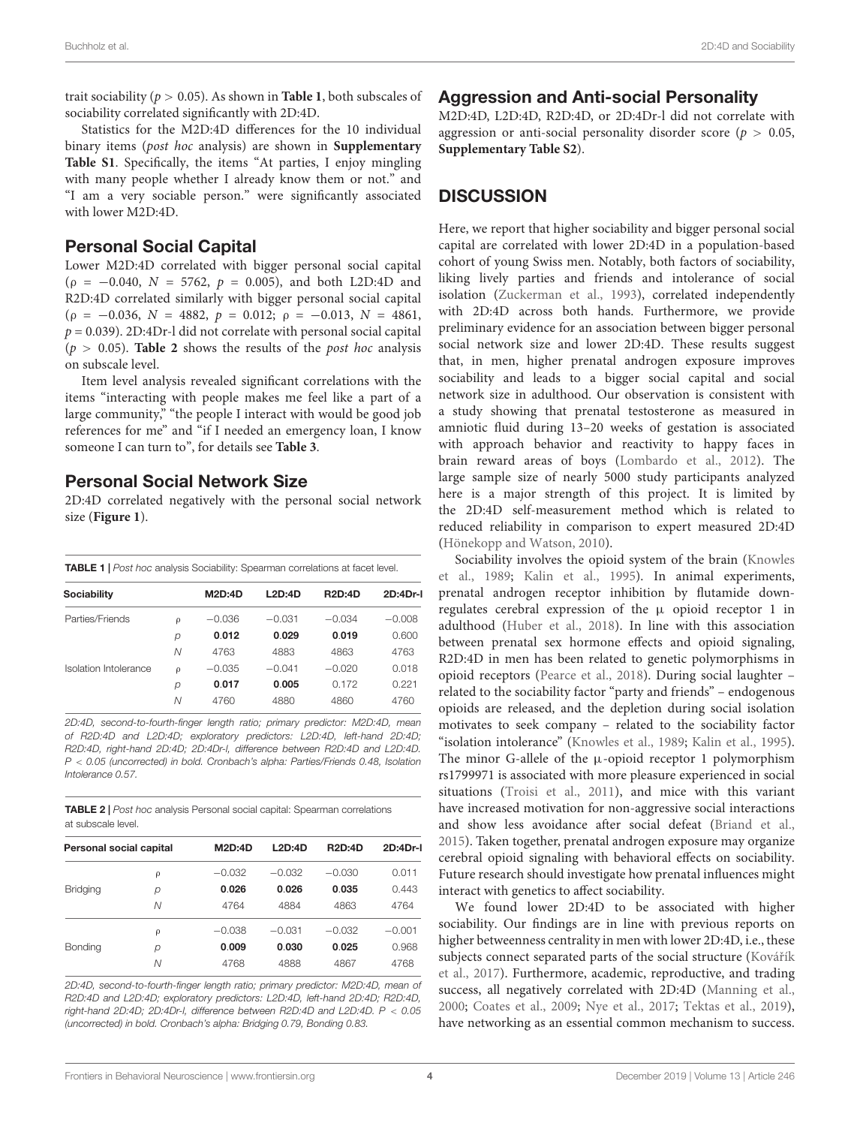trait sociability ( $p > 0.05$ ). As shown in **[Table 1](#page-3-0)**, both subscales of sociability correlated significantly with 2D:4D.

Statistics for the M2D:4D differences for the 10 individual binary items (post hoc analysis) are shown in **[Supplementary](#page-7-19) [Table S1](#page-7-19)**. Specifically, the items "At parties, I enjoy mingling with many people whether I already know them or not." and "I am a very sociable person." were significantly associated with lower M2D:4D.

#### Personal Social Capital

Lower M2D:4D correlated with bigger personal social capital  $(\rho = -0.040, N = 5762, p = 0.005)$ , and both L2D:4D and R2D:4D correlated similarly with bigger personal social capital ( $\rho = -0.036$ ,  $N = 4882$ ,  $p = 0.012$ ;  $\rho = -0.013$ ,  $N = 4861$ ,  $p = 0.039$ ). 2D:4Dr-l did not correlate with personal social capital  $(p > 0.05)$ . **[Table 2](#page-3-1)** shows the results of the *post hoc* analysis on subscale level.

Item level analysis revealed significant correlations with the items "interacting with people makes me feel like a part of a large community," "the people I interact with would be good job references for me" and "if I needed an emergency loan, I know someone I can turn to", for details see **[Table 3](#page-4-0)**.

## Personal Social Network Size

2D:4D correlated negatively with the personal social network size (**[Figure 1](#page-4-1)**).

<span id="page-3-0"></span>

| <b>TABLE 1</b>   Post hoc analysis Sociability: Spearman correlations at facet level. |          |          |          |               |          |  |  |  |  |  |
|---------------------------------------------------------------------------------------|----------|----------|----------|---------------|----------|--|--|--|--|--|
| <b>Sociability</b>                                                                    |          | M2D:4D   | L2D:4D   | <b>R2D:4D</b> | 2D:4Dr-I |  |  |  |  |  |
| Parties/Friends                                                                       | $\Omega$ | $-0.036$ | $-0.031$ | $-0.034$      | $-0.008$ |  |  |  |  |  |
|                                                                                       | р        | 0.012    | 0.029    | 0.019         | 0.600    |  |  |  |  |  |
|                                                                                       | N        | 4763     | 4883     | 4863          | 4763     |  |  |  |  |  |
| Isolation Intolerance                                                                 | $\Omega$ | $-0.035$ | $-0.041$ | $-0.020$      | 0.018    |  |  |  |  |  |
|                                                                                       | р        | 0.017    | 0.005    | 0.172         | 0.221    |  |  |  |  |  |
|                                                                                       | Ν        | 4760     | 4880     | 4860          | 4760     |  |  |  |  |  |
|                                                                                       |          |          |          |               |          |  |  |  |  |  |

2D:4D, second-to-fourth-finger length ratio; primary predictor: M2D:4D, mean of R2D:4D and L2D:4D; exploratory predictors: L2D:4D, left-hand 2D:4D; R2D:4D, right-hand 2D:4D; 2D:4Dr-l, difference between R2D:4D and L2D:4D. P < 0.05 (uncorrected) in bold. Cronbach's alpha: Parties/Friends 0.48, Isolation Intolerance 0.57.

<span id="page-3-1"></span>TABLE 2 | Post hoc analysis Personal social capital: Spearman correlations at subscale level.

| Personal social capital |        | <b>M2D:4D</b> | L2D:4D   | <b>R2D:4D</b> | 2D:4Dr-1 |  |  |
|-------------------------|--------|---------------|----------|---------------|----------|--|--|
|                         | $\rho$ | $-0.032$      | $-0.032$ | $-0.030$      | 0.011    |  |  |
| <b>Bridging</b>         | р      | 0.026         | 0.026    | 0.035         | 0.443    |  |  |
|                         | Ν      | 4764          | 4884     | 4863          | 4764     |  |  |
|                         | $\rho$ | $-0.038$      | $-0.031$ | $-0.032$      | $-0.001$ |  |  |
| <b>Bonding</b>          | р      | 0.009         | 0.030    | 0.025         | 0.968    |  |  |
|                         | Ν      | 4768          | 4888     | 4867          | 4768     |  |  |
|                         |        |               |          |               |          |  |  |

2D:4D, second-to-fourth-finger length ratio; primary predictor: M2D:4D, mean of R2D:4D and L2D:4D; exploratory predictors: L2D:4D, left-hand 2D:4D; R2D:4D, right-hand 2D:4D; 2D:4Dr-l, difference between R2D:4D and L2D:4D. P < 0.05 (uncorrected) in bold. Cronbach's alpha: Bridging 0.79, Bonding 0.83.

#### Aggression and Anti-social Personality

M2D:4D, L2D:4D, R2D:4D, or 2D:4Dr-l did not correlate with aggression or anti-social personality disorder score ( $p > 0.05$ , **[Supplementary Table S2](#page-7-19)**).

# **DISCUSSION**

Here, we report that higher sociability and bigger personal social capital are correlated with lower 2D:4D in a population-based cohort of young Swiss men. Notably, both factors of sociability, liking lively parties and friends and intolerance of social isolation [\(Zuckerman et al.,](#page-9-12) [1993\)](#page-9-12), correlated independently with 2D:4D across both hands. Furthermore, we provide preliminary evidence for an association between bigger personal social network size and lower 2D:4D. These results suggest that, in men, higher prenatal androgen exposure improves sociability and leads to a bigger social capital and social network size in adulthood. Our observation is consistent with a study showing that prenatal testosterone as measured in amniotic fluid during 13–20 weeks of gestation is associated with approach behavior and reactivity to happy faces in brain reward areas of boys [\(Lombardo et al.,](#page-8-31) [2012\)](#page-8-31). The large sample size of nearly 5000 study participants analyzed here is a major strength of this project. It is limited by the 2D:4D self-measurement method which is related to reduced reliability in comparison to expert measured 2D:4D [\(Hönekopp and Watson,](#page-8-28) [2010\)](#page-8-28).

Sociability involves the opioid system of the brain [\(Knowles](#page-8-32) [et al.,](#page-8-32) [1989;](#page-8-32) [Kalin et al.,](#page-8-33) [1995\)](#page-8-33). In animal experiments, prenatal androgen receptor inhibition by flutamide downregulates cerebral expression of the  $\mu$  opioid receptor 1 in adulthood [\(Huber et al.,](#page-8-1) [2018\)](#page-8-1). In line with this association between prenatal sex hormone effects and opioid signaling, R2D:4D in men has been related to genetic polymorphisms in opioid receptors [\(Pearce et al.,](#page-9-17) [2018\)](#page-9-17). During social laughter – related to the sociability factor "party and friends" – endogenous opioids are released, and the depletion during social isolation motivates to seek company – related to the sociability factor "isolation intolerance" [\(Knowles et al.,](#page-8-32) [1989;](#page-8-32) [Kalin et al.,](#page-8-33) [1995\)](#page-8-33). The minor G-allele of the  $\mu$ -opioid receptor 1 polymorphism rs1799971 is associated with more pleasure experienced in social situations [\(Troisi et al.,](#page-9-18) [2011\)](#page-9-18), and mice with this variant have increased motivation for non-aggressive social interactions and show less avoidance after social defeat [\(Briand et al.,](#page-7-20) [2015\)](#page-7-20). Taken together, prenatal androgen exposure may organize cerebral opioid signaling with behavioral effects on sociability. Future research should investigate how prenatal influences might interact with genetics to affect sociability.

We found lower 2D:4D to be associated with higher sociability. Our findings are in line with previous reports on higher betweenness centrality in men with lower 2D:4D, i.e., these subjects connect separated parts of the social structure (Kovářík [et al.,](#page-8-14) [2017\)](#page-8-14). Furthermore, academic, reproductive, and trading success, all negatively correlated with 2D:4D [\(Manning et al.,](#page-8-12) [2000;](#page-8-12) [Coates et al.,](#page-7-10) [2009;](#page-7-10) [Nye et al.,](#page-9-7) [2017;](#page-9-7) [Tektas et al.,](#page-9-8) [2019\)](#page-9-8), have networking as an essential common mechanism to success.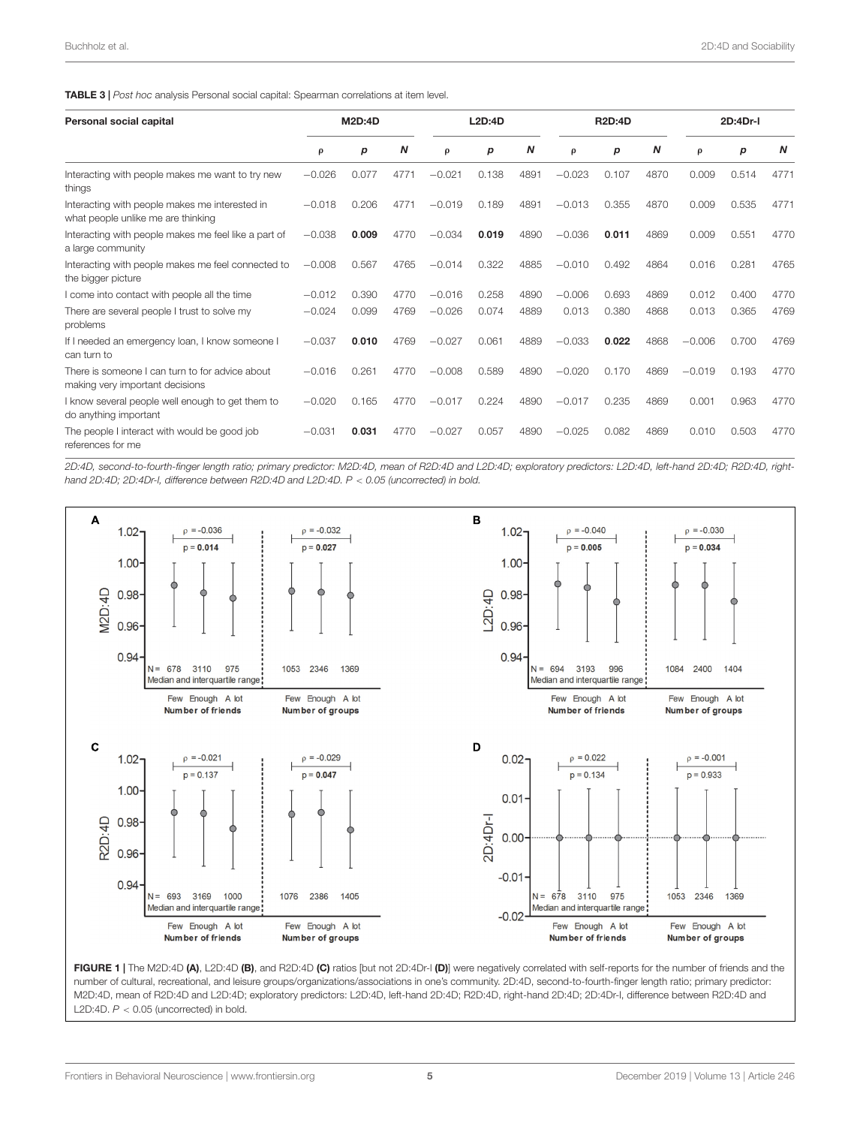<span id="page-4-0"></span>TABLE 3 | Post hoc analysis Personal social capital: Spearman correlations at item level.

| Personal social capital                                                              | <b>M2D:4D</b> |       | L2D:4D  |          | <b>R2D:4D</b> |                  |          | 2D:4Dr-I |      |          |       |      |
|--------------------------------------------------------------------------------------|---------------|-------|---------|----------|---------------|------------------|----------|----------|------|----------|-------|------|
|                                                                                      | ρ             | p     | N       | ρ        | p             | $\boldsymbol{N}$ | ρ        | р        | N    | ρ        | р     | N    |
| Interacting with people makes me want to try new<br>things                           | $-0.026$      | 0.077 | $477 -$ | $-0.021$ | 0.138         | 4891             | $-0.023$ | 0.107    | 4870 | 0.009    | 0.514 | 4771 |
| Interacting with people makes me interested in<br>what people unlike me are thinking | $-0.018$      | 0.206 | 4771    | $-0.019$ | 0.189         | 4891             | $-0.013$ | 0.355    | 4870 | 0.009    | 0.535 | 4771 |
| Interacting with people makes me feel like a part of<br>a large community            | $-0.038$      | 0.009 | 4770    | $-0.034$ | 0.019         | 4890             | $-0.036$ | 0.011    | 4869 | 0.009    | 0.551 | 4770 |
| Interacting with people makes me feel connected to<br>the bigger picture             | $-0.008$      | 0.567 | 4765    | $-0.014$ | 0.322         | 4885             | $-0.010$ | 0.492    | 4864 | 0.016    | 0.281 | 4765 |
| I come into contact with people all the time                                         | $-0.012$      | 0.390 | 4770    | $-0.016$ | 0.258         | 4890             | $-0.006$ | 0.693    | 4869 | 0.012    | 0.400 | 4770 |
| There are several people I trust to solve my<br>problems                             | $-0.024$      | 0.099 | 4769    | $-0.026$ | 0.074         | 4889             | 0.013    | 0.380    | 4868 | 0.013    | 0.365 | 4769 |
| If I needed an emergency loan, I know someone I<br>can turn to                       | $-0.037$      | 0.010 | 4769    | $-0.027$ | 0.061         | 4889             | $-0.033$ | 0.022    | 4868 | $-0.006$ | 0.700 | 4769 |
| There is someone I can turn to for advice about<br>making very important decisions   | $-0.016$      | 0.261 | 4770    | $-0.008$ | 0.589         | 4890             | $-0.020$ | 0.170    | 4869 | $-0.019$ | 0.193 | 4770 |
| I know several people well enough to get them to<br>do anything important            | $-0.020$      | 0.165 | 4770    | $-0.017$ | 0.224         | 4890             | $-0.017$ | 0.235    | 4869 | 0.001    | 0.963 | 4770 |
| The people I interact with would be good job<br>references for me                    | $-0.031$      | 0.031 | 4770    | $-0.027$ | 0.057         | 4890             | $-0.025$ | 0.082    | 4869 | 0.010    | 0.503 | 4770 |

2D:4D, second-to-fourth-finger length ratio; primary predictor: M2D:4D, mean of R2D:4D and L2D:4D; exploratory predictors: L2D:4D, left-hand 2D:4D; R2D:4D, righthand 2D:4D; 2D:4Dr-l, difference between R2D:4D and L2D:4D. P < 0.05 (uncorrected) in bold.



<span id="page-4-1"></span>FIGURE 1 | The M2D:4D (A), L2D:4D (B), and R2D:4D (C) ratios [but not 2D:4Dr-l (D)] were negatively correlated with self-reports for the number of friends and the number of cultural, recreational, and leisure groups/organizations/associations in one's community. 2D:4D, second-to-fourth-finger length ratio; primary predictor: M2D:4D, mean of R2D:4D and L2D:4D; exploratory predictors: L2D:4D, left-hand 2D:4D; R2D:4D, right-hand 2D:4D; 2D:4Dr-l, difference between R2D:4D and L2D:4D.  $P < 0.05$  (uncorrected) in bold.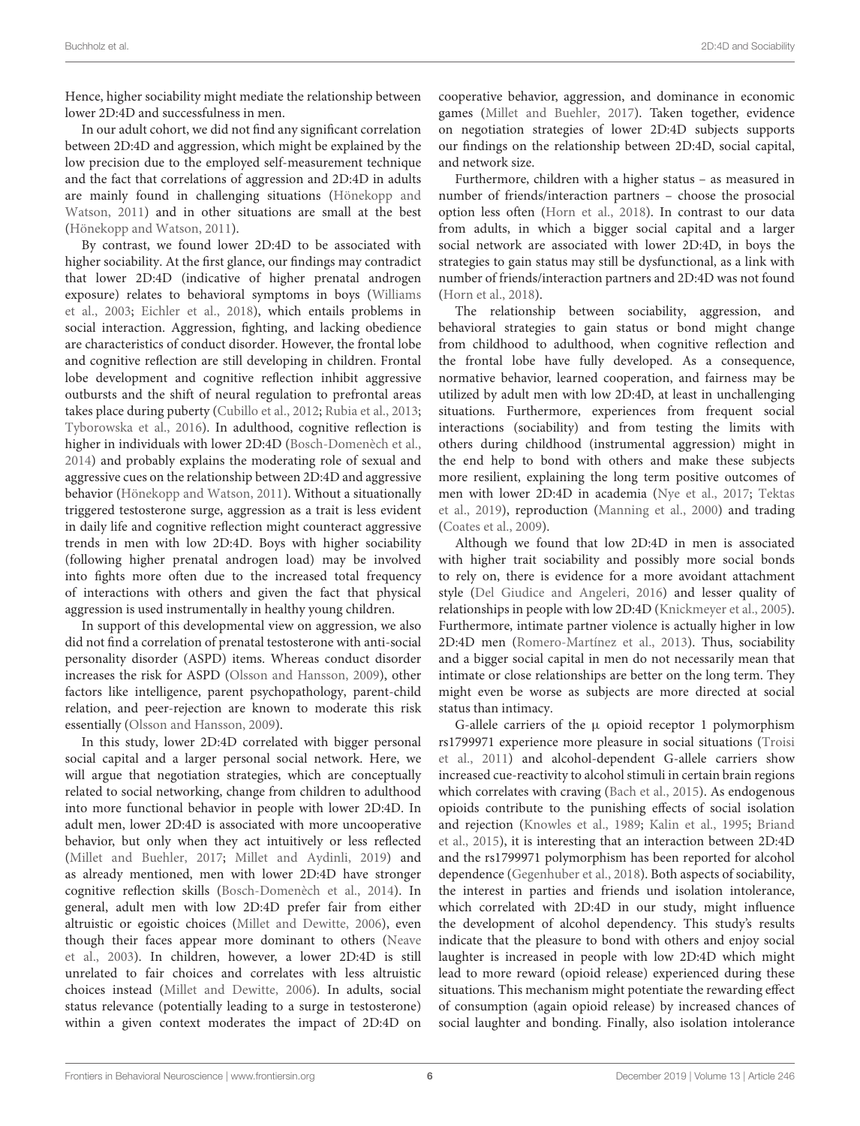Hence, higher sociability might mediate the relationship between lower 2D:4D and successfulness in men.

In our adult cohort, we did not find any significant correlation between 2D:4D and aggression, which might be explained by the low precision due to the employed self-measurement technique and the fact that correlations of aggression and 2D:4D in adults are mainly found in challenging situations [\(Hönekopp and](#page-8-8) [Watson,](#page-8-8) [2011\)](#page-8-8) and in other situations are small at the best [\(Hönekopp and Watson,](#page-8-8) [2011\)](#page-8-8).

By contrast, we found lower 2D:4D to be associated with higher sociability. At the first glance, our findings may contradict that lower 2D:4D (indicative of higher prenatal androgen exposure) relates to behavioral symptoms in boys [\(Williams](#page-9-19) [et al.,](#page-9-19) [2003;](#page-9-19) [Eichler et al.,](#page-8-16) [2018\)](#page-8-16), which entails problems in social interaction. Aggression, fighting, and lacking obedience are characteristics of conduct disorder. However, the frontal lobe and cognitive reflection are still developing in children. Frontal lobe development and cognitive reflection inhibit aggressive outbursts and the shift of neural regulation to prefrontal areas takes place during puberty [\(Cubillo et al.,](#page-7-21) [2012;](#page-7-21) [Rubia et al.,](#page-9-20) [2013;](#page-9-20) [Tyborowska et al.,](#page-9-21) [2016\)](#page-9-21). In adulthood, cognitive reflection is higher in individuals with lower 2D:4D [\(Bosch-Domenèch et al.,](#page-7-11) [2014\)](#page-7-11) and probably explains the moderating role of sexual and aggressive cues on the relationship between 2D:4D and aggressive behavior [\(Hönekopp and Watson,](#page-8-8) [2011\)](#page-8-8). Without a situationally triggered testosterone surge, aggression as a trait is less evident in daily life and cognitive reflection might counteract aggressive trends in men with low 2D:4D. Boys with higher sociability (following higher prenatal androgen load) may be involved into fights more often due to the increased total frequency of interactions with others and given the fact that physical aggression is used instrumentally in healthy young children.

In support of this developmental view on aggression, we also did not find a correlation of prenatal testosterone with anti-social personality disorder (ASPD) items. Whereas conduct disorder increases the risk for ASPD [\(Olsson and Hansson,](#page-9-22) [2009\)](#page-9-22), other factors like intelligence, parent psychopathology, parent-child relation, and peer-rejection are known to moderate this risk essentially [\(Olsson and Hansson,](#page-9-22) [2009\)](#page-9-22).

In this study, lower 2D:4D correlated with bigger personal social capital and a larger personal social network. Here, we will argue that negotiation strategies, which are conceptually related to social networking, change from children to adulthood into more functional behavior in people with lower 2D:4D. In adult men, lower 2D:4D is associated with more uncooperative behavior, but only when they act intuitively or less reflected [\(Millet and Buehler,](#page-8-9) [2017;](#page-8-9) [Millet and Aydinli,](#page-8-11) [2019\)](#page-8-11) and as already mentioned, men with lower 2D:4D have stronger cognitive reflection skills [\(Bosch-Domenèch et al.,](#page-7-11) [2014\)](#page-7-11). In general, adult men with low 2D:4D prefer fair from either altruistic or egoistic choices [\(Millet and Dewitte,](#page-8-13) [2006\)](#page-8-13), even though their faces appear more dominant to others [\(Neave](#page-9-23) [et al.,](#page-9-23) [2003\)](#page-9-23). In children, however, a lower 2D:4D is still unrelated to fair choices and correlates with less altruistic choices instead [\(Millet and Dewitte,](#page-8-13) [2006\)](#page-8-13). In adults, social status relevance (potentially leading to a surge in testosterone) within a given context moderates the impact of 2D:4D on

cooperative behavior, aggression, and dominance in economic games [\(Millet and Buehler,](#page-8-9) [2017\)](#page-8-9). Taken together, evidence on negotiation strategies of lower 2D:4D subjects supports our findings on the relationship between 2D:4D, social capital, and network size.

Furthermore, children with a higher status – as measured in number of friends/interaction partners – choose the prosocial option less often [\(Horn et al.,](#page-8-34) [2018\)](#page-8-34). In contrast to our data from adults, in which a bigger social capital and a larger social network are associated with lower 2D:4D, in boys the strategies to gain status may still be dysfunctional, as a link with number of friends/interaction partners and 2D:4D was not found [\(Horn et al.,](#page-8-34) [2018\)](#page-8-34).

The relationship between sociability, aggression, and behavioral strategies to gain status or bond might change from childhood to adulthood, when cognitive reflection and the frontal lobe have fully developed. As a consequence, normative behavior, learned cooperation, and fairness may be utilized by adult men with low 2D:4D, at least in unchallenging situations. Furthermore, experiences from frequent social interactions (sociability) and from testing the limits with others during childhood (instrumental aggression) might in the end help to bond with others and make these subjects more resilient, explaining the long term positive outcomes of men with lower 2D:4D in academia [\(Nye et al.,](#page-9-7) [2017;](#page-9-7) [Tektas](#page-9-8) [et al.,](#page-9-8) [2019\)](#page-9-8), reproduction [\(Manning et al.,](#page-8-12) [2000\)](#page-8-12) and trading [\(Coates et al.,](#page-7-10) [2009\)](#page-7-10).

Although we found that low 2D:4D in men is associated with higher trait sociability and possibly more social bonds to rely on, there is evidence for a more avoidant attachment style [\(Del Giudice and Angeleri,](#page-8-35) [2016\)](#page-8-35) and lesser quality of relationships in people with low 2D:4D [\(Knickmeyer et al.,](#page-8-36) [2005\)](#page-8-36). Furthermore, intimate partner violence is actually higher in low 2D:4D men [\(Romero-Martínez et al.,](#page-9-24) [2013\)](#page-9-24). Thus, sociability and a bigger social capital in men do not necessarily mean that intimate or close relationships are better on the long term. They might even be worse as subjects are more directed at social status than intimacy.

G-allele carriers of the  $\mu$  opioid receptor 1 polymorphism rs1799971 experience more pleasure in social situations [\(Troisi](#page-9-18) [et al.,](#page-9-18) [2011\)](#page-9-18) and alcohol-dependent G-allele carriers show increased cue-reactivity to alcohol stimuli in certain brain regions which correlates with craving [\(Bach et al.,](#page-7-22) [2015\)](#page-7-22). As endogenous opioids contribute to the punishing effects of social isolation and rejection [\(Knowles et al.,](#page-8-32) [1989;](#page-8-32) [Kalin et al.,](#page-8-33) [1995;](#page-8-33) [Briand](#page-7-20) [et al.,](#page-7-20) [2015\)](#page-7-20), it is interesting that an interaction between 2D:4D and the rs1799971 polymorphism has been reported for alcohol dependence [\(Gegenhuber et al.,](#page-8-37) [2018\)](#page-8-37). Both aspects of sociability, the interest in parties and friends und isolation intolerance, which correlated with 2D:4D in our study, might influence the development of alcohol dependency. This study's results indicate that the pleasure to bond with others and enjoy social laughter is increased in people with low 2D:4D which might lead to more reward (opioid release) experienced during these situations. This mechanism might potentiate the rewarding effect of consumption (again opioid release) by increased chances of social laughter and bonding. Finally, also isolation intolerance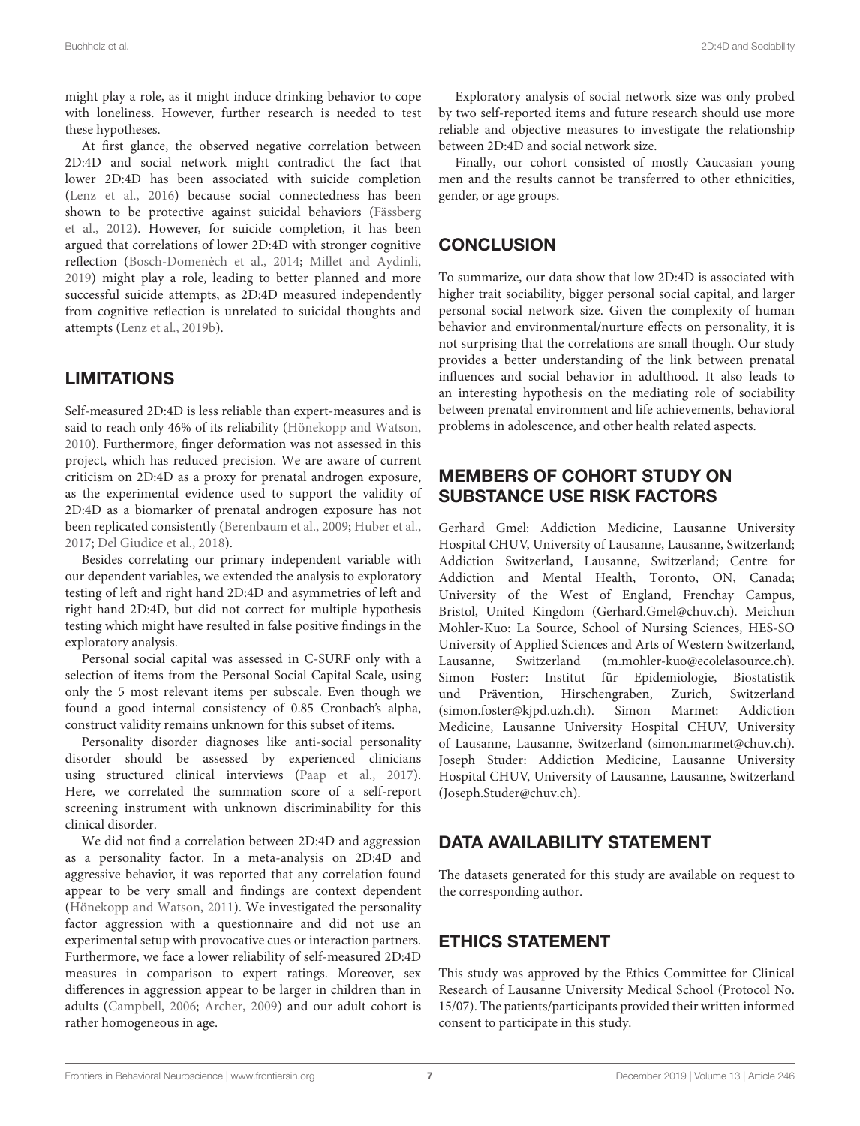might play a role, as it might induce drinking behavior to cope with loneliness. However, further research is needed to test these hypotheses.

At first glance, the observed negative correlation between 2D:4D and social network might contradict the fact that lower 2D:4D has been associated with suicide completion [\(Lenz et al.,](#page-8-22) [2016\)](#page-8-22) because social connectedness has been shown to be protective against suicidal behaviors [\(Fässberg](#page-8-38) [et al.,](#page-8-38) [2012\)](#page-8-38). However, for suicide completion, it has been argued that correlations of lower 2D:4D with stronger cognitive reflection [\(Bosch-Domenèch et al.,](#page-7-11) [2014;](#page-7-11) [Millet and Aydinli,](#page-8-11) [2019\)](#page-8-11) might play a role, leading to better planned and more successful suicide attempts, as 2D:4D measured independently from cognitive reflection is unrelated to suicidal thoughts and attempts [\(Lenz et al.,](#page-8-23) [2019b\)](#page-8-23).

# LIMITATIONS

Self-measured 2D:4D is less reliable than expert-measures and is said to reach only 46% of its reliability [\(Hönekopp and Watson,](#page-8-28) [2010\)](#page-8-28). Furthermore, finger deformation was not assessed in this project, which has reduced precision. We are aware of current criticism on 2D:4D as a proxy for prenatal androgen exposure, as the experimental evidence used to support the validity of 2D:4D as a biomarker of prenatal androgen exposure has not been replicated consistently [\(Berenbaum et al.,](#page-7-6) [2009;](#page-7-6) [Huber et al.,](#page-8-39) [2017;](#page-8-39) [Del Giudice et al.,](#page-8-5) [2018\)](#page-8-5).

Besides correlating our primary independent variable with our dependent variables, we extended the analysis to exploratory testing of left and right hand 2D:4D and asymmetries of left and right hand 2D:4D, but did not correct for multiple hypothesis testing which might have resulted in false positive findings in the exploratory analysis.

Personal social capital was assessed in C-SURF only with a selection of items from the Personal Social Capital Scale, using only the 5 most relevant items per subscale. Even though we found a good internal consistency of 0.85 Cronbach's alpha, construct validity remains unknown for this subset of items.

Personality disorder diagnoses like anti-social personality disorder should be assessed by experienced clinicians using structured clinical interviews [\(Paap et al.,](#page-9-25) [2017\)](#page-9-25). Here, we correlated the summation score of a self-report screening instrument with unknown discriminability for this clinical disorder.

We did not find a correlation between 2D:4D and aggression as a personality factor. In a meta-analysis on 2D:4D and aggressive behavior, it was reported that any correlation found appear to be very small and findings are context dependent [\(Hönekopp and Watson,](#page-8-8) [2011\)](#page-8-8). We investigated the personality factor aggression with a questionnaire and did not use an experimental setup with provocative cues or interaction partners. Furthermore, we face a lower reliability of self-measured 2D:4D measures in comparison to expert ratings. Moreover, sex differences in aggression appear to be larger in children than in adults [\(Campbell,](#page-7-23) [2006;](#page-7-23) [Archer,](#page-7-24) [2009\)](#page-7-24) and our adult cohort is rather homogeneous in age.

Exploratory analysis of social network size was only probed by two self-reported items and future research should use more reliable and objective measures to investigate the relationship between 2D:4D and social network size.

Finally, our cohort consisted of mostly Caucasian young men and the results cannot be transferred to other ethnicities, gender, or age groups.

# **CONCLUSION**

To summarize, our data show that low 2D:4D is associated with higher trait sociability, bigger personal social capital, and larger personal social network size. Given the complexity of human behavior and environmental/nurture effects on personality, it is not surprising that the correlations are small though. Our study provides a better understanding of the link between prenatal influences and social behavior in adulthood. It also leads to an interesting hypothesis on the mediating role of sociability between prenatal environment and life achievements, behavioral problems in adolescence, and other health related aspects.

# MEMBERS OF COHORT STUDY ON SUBSTANCE USE RISK FACTORS

Gerhard Gmel: Addiction Medicine, Lausanne University Hospital CHUV, University of Lausanne, Lausanne, Switzerland; Addiction Switzerland, Lausanne, Switzerland; Centre for Addiction and Mental Health, Toronto, ON, Canada; University of the West of England, Frenchay Campus, Bristol, United Kingdom (Gerhard.Gmel@chuv.ch). Meichun Mohler-Kuo: La Source, School of Nursing Sciences, HES-SO University of Applied Sciences and Arts of Western Switzerland, Lausanne, Switzerland (m.mohler-kuo@ecolelasource.ch). Simon Foster: Institut für Epidemiologie, Biostatistik und Prävention, Hirschengraben, Zurich, Switzerland (simon.foster@kjpd.uzh.ch). Simon Marmet: Addiction Medicine, Lausanne University Hospital CHUV, University of Lausanne, Lausanne, Switzerland (simon.marmet@chuv.ch). Joseph Studer: Addiction Medicine, Lausanne University Hospital CHUV, University of Lausanne, Lausanne, Switzerland (Joseph.Studer@chuv.ch).

# DATA AVAILABILITY STATEMENT

The datasets generated for this study are available on request to the corresponding author.

# ETHICS STATEMENT

This study was approved by the Ethics Committee for Clinical Research of Lausanne University Medical School (Protocol No. 15/07). The patients/participants provided their written informed consent to participate in this study.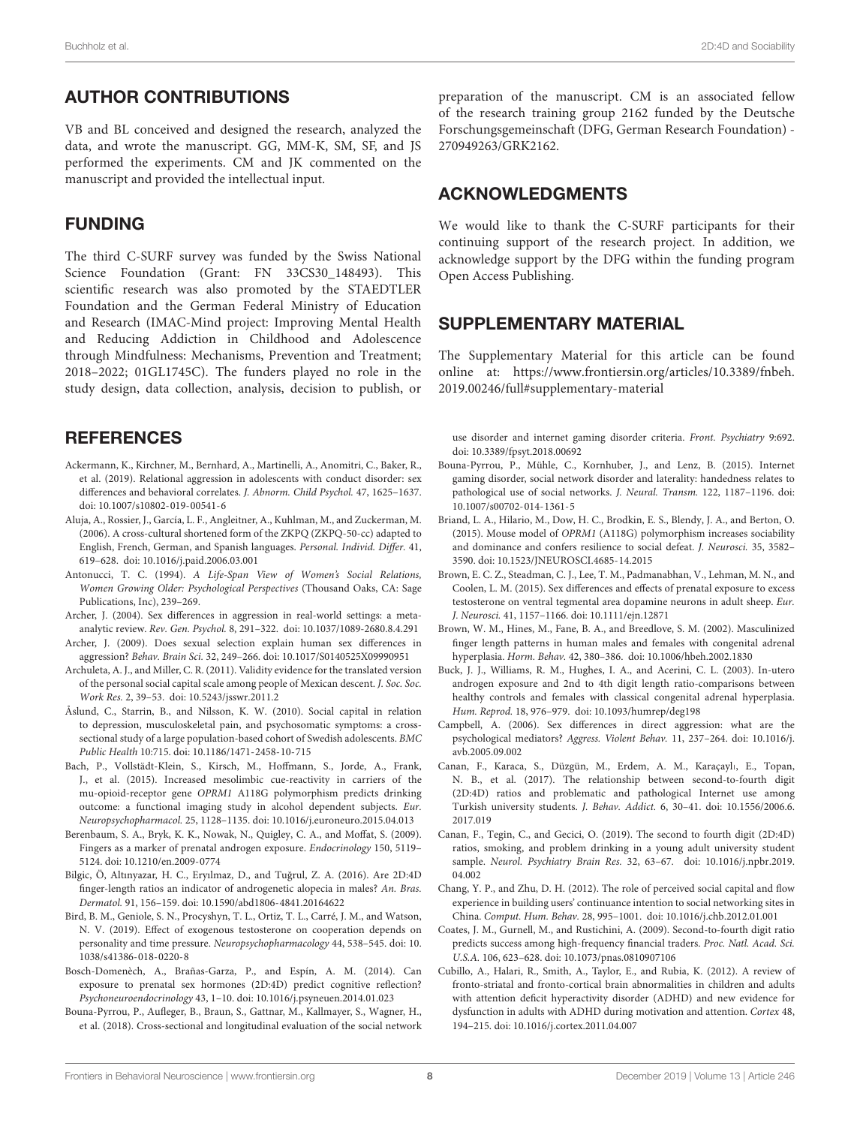## AUTHOR CONTRIBUTIONS

VB and BL conceived and designed the research, analyzed the data, and wrote the manuscript. GG, MM-K, SM, SF, and JS performed the experiments. CM and JK commented on the manuscript and provided the intellectual input.

## FUNDING

The third C-SURF survey was funded by the Swiss National Science Foundation (Grant: FN 33CS30\_148493). This scientific research was also promoted by the STAEDTLER Foundation and the German Federal Ministry of Education and Research (IMAC-Mind project: Improving Mental Health and Reducing Addiction in Childhood and Adolescence through Mindfulness: Mechanisms, Prevention and Treatment; 2018–2022; 01GL1745C). The funders played no role in the study design, data collection, analysis, decision to publish, or

## **REFERENCES**

- <span id="page-7-2"></span>Ackermann, K., Kirchner, M., Bernhard, A., Martinelli, A., Anomitri, C., Baker, R., et al. (2019). Relational aggression in adolescents with conduct disorder: sex differences and behavioral correlates. J. Abnorm. Child Psychol. 47, 1625–1637. [doi: 10.1007/s10802-019-00541-6](https://doi.org/10.1007/s10802-019-00541-6)
- <span id="page-7-15"></span>Aluja, A., Rossier, J., García, L. F., Angleitner, A., Kuhlman, M., and Zuckerman, M. (2006). A cross-cultural shortened form of the ZKPQ (ZKPQ-50-cc) adapted to English, French, German, and Spanish languages. Personal. Individ. Differ. 41, 619–628. [doi: 10.1016/j.paid.2006.03.001](https://doi.org/10.1016/j.paid.2006.03.001)
- <span id="page-7-3"></span>Antonucci, T. C. (1994). A Life-Span View of Women's Social Relations, Women Growing Older: Psychological Perspectives (Thousand Oaks, CA: Sage Publications, Inc), 239–269.
- <span id="page-7-1"></span>Archer, J. (2004). Sex differences in aggression in real-world settings: a metaanalytic review. Rev. Gen. Psychol. 8, 291–322. [doi: 10.1037/1089-2680.8.4.291](https://doi.org/10.1037/1089-2680.8.4.291)
- <span id="page-7-24"></span>Archer, J. (2009). Does sexual selection explain human sex differences in aggression? Behav. Brain Sci. 32, 249–266. [doi: 10.1017/S0140525X09990951](https://doi.org/10.1017/S0140525X09990951)
- <span id="page-7-16"></span>Archuleta, A. J., and Miller, C. R. (2011). Validity evidence for the translated version of the personal social capital scale among people of Mexican descent. J. Soc. Soc. Work Res. 2, 39–53. [doi: 10.5243/jsswr.2011.2](https://doi.org/10.5243/jsswr.2011.2)
- <span id="page-7-12"></span>Åslund, C., Starrin, B., and Nilsson, K. W. (2010). Social capital in relation to depression, musculoskeletal pain, and psychosomatic symptoms: a crosssectional study of a large population-based cohort of Swedish adolescents. BMC Public Health 10:715. [doi: 10.1186/1471-2458-10-715](https://doi.org/10.1186/1471-2458-10-715)
- <span id="page-7-22"></span>Bach, P., Vollstädt-Klein, S., Kirsch, M., Hoffmann, S., Jorde, A., Frank, J., et al. (2015). Increased mesolimbic cue-reactivity in carriers of the mu-opioid-receptor gene OPRM1 A118G polymorphism predicts drinking outcome: a functional imaging study in alcohol dependent subjects. Eur. Neuropsychopharmacol. 25, 1128–1135. [doi: 10.1016/j.euroneuro.2015.04.013](https://doi.org/10.1016/j.euroneuro.2015.04.013)
- <span id="page-7-6"></span>Berenbaum, S. A., Bryk, K. K., Nowak, N., Quigley, C. A., and Moffat, S. (2009). Fingers as a marker of prenatal androgen exposure. Endocrinology 150, 5119– 5124. [doi: 10.1210/en.2009-0774](https://doi.org/10.1210/en.2009-0774)
- <span id="page-7-18"></span>Bilgic, Ö, Altınyazar, H. C., Eryılmaz, D., and Tuğrul, Z. A. (2016). Are 2D:4D finger-length ratios an indicator of androgenetic alopecia in males? An. Bras. Dermatol. 91, 156–159. [doi: 10.1590/abd1806-4841.20164622](https://doi.org/10.1590/abd1806-4841.20164622)
- <span id="page-7-9"></span>Bird, B. M., Geniole, S. N., Procyshyn, T. L., Ortiz, T. L., Carré, J. M., and Watson, N. V. (2019). Effect of exogenous testosterone on cooperation depends on personality and time pressure. Neuropsychopharmacology 44, 538–545. [doi: 10.](https://doi.org/10.1038/s41386-018-0220-8) [1038/s41386-018-0220-8](https://doi.org/10.1038/s41386-018-0220-8)
- <span id="page-7-11"></span>Bosch-Domenèch, A., Brañas-Garza, P., and Espín, A. M. (2014). Can exposure to prenatal sex hormones (2D:4D) predict cognitive reflection? Psychoneuroendocrinology 43, 1–10. [doi: 10.1016/j.psyneuen.2014.01.023](https://doi.org/10.1016/j.psyneuen.2014.01.023)
- <span id="page-7-5"></span>Bouna-Pyrrou, P., Aufleger, B., Braun, S., Gattnar, M., Kallmayer, S., Wagner, H., et al. (2018). Cross-sectional and longitudinal evaluation of the social network

preparation of the manuscript. CM is an associated fellow of the research training group 2162 funded by the Deutsche Forschungsgemeinschaft (DFG, German Research Foundation) - 270949263/GRK2162.

## ACKNOWLEDGMENTS

We would like to thank the C-SURF participants for their continuing support of the research project. In addition, we acknowledge support by the DFG within the funding program Open Access Publishing.

# <span id="page-7-19"></span>SUPPLEMENTARY MATERIAL

The Supplementary Material for this article can be found online at: [https://www.frontiersin.org/articles/10.3389/fnbeh.](https://www.frontiersin.org/articles/10.3389/fnbeh.2019.00246/full#supplementary-material) [2019.00246/full#supplementary-material](https://www.frontiersin.org/articles/10.3389/fnbeh.2019.00246/full#supplementary-material)

use disorder and internet gaming disorder criteria. Front. Psychiatry 9:692. [doi: 10.3389/fpsyt.2018.00692](https://doi.org/10.3389/fpsyt.2018.00692)

- <span id="page-7-4"></span>Bouna-Pyrrou, P., Mühle, C., Kornhuber, J., and Lenz, B. (2015). Internet gaming disorder, social network disorder and laterality: handedness relates to pathological use of social networks. J. Neural. Transm. 122, 1187–1196. [doi:](https://doi.org/10.1007/s00702-014-1361-5) [10.1007/s00702-014-1361-5](https://doi.org/10.1007/s00702-014-1361-5)
- <span id="page-7-20"></span>Briand, L. A., Hilario, M., Dow, H. C., Brodkin, E. S., Blendy, J. A., and Berton, O. (2015). Mouse model of OPRM1 (A118G) polymorphism increases sociability and dominance and confers resilience to social defeat. J. Neurosci. 35, 3582– 3590. [doi: 10.1523/JNEUROSCI.4685-14.2015](https://doi.org/10.1523/JNEUROSCI.4685-14.2015)
- <span id="page-7-0"></span>Brown, E. C. Z., Steadman, C. J., Lee, T. M., Padmanabhan, V., Lehman, M. N., and Coolen, L. M. (2015). Sex differences and effects of prenatal exposure to excess testosterone on ventral tegmental area dopamine neurons in adult sheep. Eur. J. Neurosci. 41, 1157–1166. [doi: 10.1111/ejn.12871](https://doi.org/10.1111/ejn.12871)
- <span id="page-7-7"></span>Brown, W. M., Hines, M., Fane, B. A., and Breedlove, S. M. (2002). Masculinized finger length patterns in human males and females with congenital adrenal hyperplasia. Horm. Behav. 42, 380–386. [doi: 10.1006/hbeh.2002.1830](https://doi.org/10.1006/hbeh.2002.1830)
- <span id="page-7-8"></span>Buck, J. J., Williams, R. M., Hughes, I. A., and Acerini, C. L. (2003). In-utero androgen exposure and 2nd to 4th digit length ratio-comparisons between healthy controls and females with classical congenital adrenal hyperplasia. Hum. Reprod. 18, 976–979. [doi: 10.1093/humrep/deg198](https://doi.org/10.1093/humrep/deg198)
- <span id="page-7-23"></span>Campbell, A. (2006). Sex differences in direct aggression: what are the psychological mediators? Aggress. Violent Behav. 11, 237–264. [doi: 10.1016/j.](https://doi.org/10.1016/j.avb.2005.09.002) [avb.2005.09.002](https://doi.org/10.1016/j.avb.2005.09.002)
- <span id="page-7-13"></span>Canan, F., Karaca, S., Düzgün, M., Erdem, A. M., Karaçaylı, E., Topan, N. B., et al. (2017). The relationship between second-to-fourth digit (2D:4D) ratios and problematic and pathological Internet use among Turkish university students. J. Behav. Addict. 6, 30–41. [doi: 10.1556/2006.6.](https://doi.org/10.1556/2006.6.2017.019) [2017.019](https://doi.org/10.1556/2006.6.2017.019)
- <span id="page-7-14"></span>Canan, F., Tegin, C., and Gecici, O. (2019). The second to fourth digit (2D:4D) ratios, smoking, and problem drinking in a young adult university student sample. Neurol. Psychiatry Brain Res. 32, 63–67. [doi: 10.1016/j.npbr.2019.](https://doi.org/10.1016/j.npbr.2019.04.002) [04.002](https://doi.org/10.1016/j.npbr.2019.04.002)
- <span id="page-7-17"></span>Chang, Y. P., and Zhu, D. H. (2012). The role of perceived social capital and flow experience in building users' continuance intention to social networking sites in China. Comput. Hum. Behav. 28, 995–1001. [doi: 10.1016/j.chb.2012.01.001](https://doi.org/10.1016/j.chb.2012.01.001)
- <span id="page-7-10"></span>Coates, J. M., Gurnell, M., and Rustichini, A. (2009). Second-to-fourth digit ratio predicts success among high-frequency financial traders. Proc. Natl. Acad. Sci. U.S.A. 106, 623–628. [doi: 10.1073/pnas.0810907106](https://doi.org/10.1073/pnas.0810907106)
- <span id="page-7-21"></span>Cubillo, A., Halari, R., Smith, A., Taylor, E., and Rubia, K. (2012). A review of fronto-striatal and fronto-cortical brain abnormalities in children and adults with attention deficit hyperactivity disorder (ADHD) and new evidence for dysfunction in adults with ADHD during motivation and attention. Cortex 48, 194–215. [doi: 10.1016/j.cortex.2011.04.007](https://doi.org/10.1016/j.cortex.2011.04.007)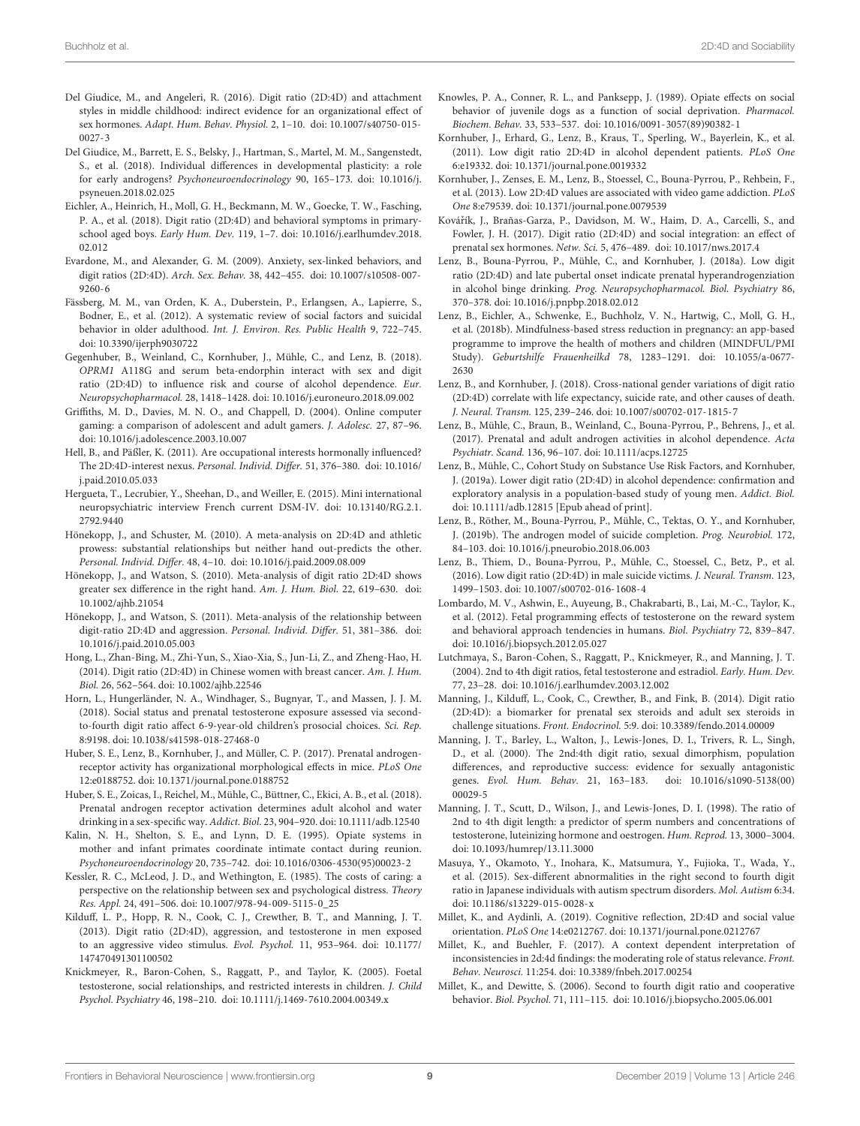- <span id="page-8-35"></span>Del Giudice, M., and Angeleri, R. (2016). Digit ratio (2D:4D) and attachment styles in middle childhood: indirect evidence for an organizational effect of sex hormones. Adapt. Hum. Behav. Physiol. 2, 1–10. [doi: 10.1007/s40750-015-](https://doi.org/10.1007/s40750-015-0027-3) [0027-3](https://doi.org/10.1007/s40750-015-0027-3)
- <span id="page-8-5"></span>Del Giudice, M., Barrett, E. S., Belsky, J., Hartman, S., Martel, M. M., Sangenstedt, S., et al. (2018). Individual differences in developmental plasticity: a role for early androgens? Psychoneuroendocrinology 90, 165–173. [doi: 10.1016/j.](https://doi.org/10.1016/j.psyneuen.2018.02.025) [psyneuen.2018.02.025](https://doi.org/10.1016/j.psyneuen.2018.02.025)
- <span id="page-8-16"></span>Eichler, A., Heinrich, H., Moll, G. H., Beckmann, M. W., Goecke, T. W., Fasching, P. A., et al. (2018). Digit ratio (2D:4D) and behavioral symptoms in primaryschool aged boys. Early Hum. Dev. 119, 1–7. [doi: 10.1016/j.earlhumdev.2018.](https://doi.org/10.1016/j.earlhumdev.2018.02.012) [02.012](https://doi.org/10.1016/j.earlhumdev.2018.02.012)
- <span id="page-8-15"></span>Evardone, M., and Alexander, G. M. (2009). Anxiety, sex-linked behaviors, and digit ratios (2D:4D). Arch. Sex. Behav. 38, 442–455. [doi: 10.1007/s10508-007-](https://doi.org/10.1007/s10508-007-9260-6) [9260-6](https://doi.org/10.1007/s10508-007-9260-6)
- <span id="page-8-38"></span>Fässberg, M. M., van Orden, K. A., Duberstein, P., Erlangsen, A., Lapierre, S., Bodner, E., et al. (2012). A systematic review of social factors and suicidal behavior in older adulthood. Int. J. Environ. Res. Public Health 9, 722–745. [doi: 10.3390/ijerph9030722](https://doi.org/10.3390/ijerph9030722)
- <span id="page-8-37"></span>Gegenhuber, B., Weinland, C., Kornhuber, J., Mühle, C., and Lenz, B. (2018). OPRM1 A118G and serum beta-endorphin interact with sex and digit ratio (2D:4D) to influence risk and course of alcohol dependence. Eur. Neuropsychopharmacol. 28, 1418–1428. [doi: 10.1016/j.euroneuro.2018.09.002](https://doi.org/10.1016/j.euroneuro.2018.09.002)
- <span id="page-8-3"></span>Griffiths, M. D., Davies, M. N. O., and Chappell, D. (2004). Online computer gaming: a comparison of adolescent and adult gamers. J. Adolesc. 27, 87–96. [doi: 10.1016/j.adolescence.2003.10.007](https://doi.org/10.1016/j.adolescence.2003.10.007)
- <span id="page-8-26"></span>Hell, B., and Päßler, K. (2011). Are occupational interests hormonally influenced? The 2D:4D-interest nexus. Personal. Individ. Differ. 51, 376–380. [doi: 10.1016/](https://doi.org/10.1016/j.paid.2010.05.033) [j.paid.2010.05.033](https://doi.org/10.1016/j.paid.2010.05.033)
- <span id="page-8-25"></span>Hergueta, T., Lecrubier, Y., Sheehan, D., and Weiller, E. (2015). Mini international neuropsychiatric interview French current DSM-IV. [doi: 10.13140/RG.2.1.](https://doi.org/10.13140/RG.2.1.2792.9440) [2792.9440](https://doi.org/10.13140/RG.2.1.2792.9440)
- <span id="page-8-7"></span>Hönekopp, J., and Schuster, M. (2010). A meta-analysis on 2D:4D and athletic prowess: substantial relationships but neither hand out-predicts the other. Personal. Individ. Differ. 48, 4–10. [doi: 10.1016/j.paid.2009.08.009](https://doi.org/10.1016/j.paid.2009.08.009)
- <span id="page-8-28"></span>Hönekopp, J., and Watson, S. (2010). Meta-analysis of digit ratio 2D:4D shows greater sex difference in the right hand. Am. J. Hum. Biol. 22, 619–630. [doi:](https://doi.org/10.1002/ajhb.21054) [10.1002/ajhb.21054](https://doi.org/10.1002/ajhb.21054)
- <span id="page-8-8"></span>Hönekopp, J., and Watson, S. (2011). Meta-analysis of the relationship between digit-ratio 2D:4D and aggression. Personal. Individ. Differ. 51, 381–386. [doi:](https://doi.org/10.1016/j.paid.2010.05.003) [10.1016/j.paid.2010.05.003](https://doi.org/10.1016/j.paid.2010.05.003)
- <span id="page-8-30"></span>Hong, L., Zhan-Bing, M., Zhi-Yun, S., Xiao-Xia, S., Jun-Li, Z., and Zheng-Hao, H. (2014). Digit ratio (2D:4D) in Chinese women with breast cancer. Am. J. Hum. Biol. 26, 562–564. [doi: 10.1002/ajhb.22546](https://doi.org/10.1002/ajhb.22546)
- <span id="page-8-34"></span>Horn, L., Hungerländer, N. A., Windhager, S., Bugnyar, T., and Massen, J. J. M. (2018). Social status and prenatal testosterone exposure assessed via secondto-fourth digit ratio affect 6-9-year-old children's prosocial choices. Sci. Rep. 8:9198. [doi: 10.1038/s41598-018-27468-0](https://doi.org/10.1038/s41598-018-27468-0)
- <span id="page-8-39"></span>Huber, S. E., Lenz, B., Kornhuber, J., and Müller, C. P. (2017). Prenatal androgenreceptor activity has organizational morphological effects in mice. PLoS One 12:e0188752. [doi: 10.1371/journal.pone.0188752](https://doi.org/10.1371/journal.pone.0188752)
- <span id="page-8-1"></span>Huber, S. E., Zoicas, I., Reichel, M., Mühle, C., Büttner, C., Ekici, A. B., et al. (2018). Prenatal androgen receptor activation determines adult alcohol and water drinking in a sex-specific way. Addict. Biol. 23, 904–920. [doi: 10.1111/adb.12540](https://doi.org/10.1111/adb.12540)
- <span id="page-8-33"></span>Kalin, N. H., Shelton, S. E., and Lynn, D. E. (1995). Opiate systems in mother and infant primates coordinate intimate contact during reunion. Psychoneuroendocrinology 20, 735–742. [doi: 10.1016/0306-4530\(95\)00023-2](https://doi.org/10.1016/0306-4530(95)00023-2)
- <span id="page-8-2"></span>Kessler, R. C., McLeod, J. D., and Wethington, E. (1985). The costs of caring: a perspective on the relationship between sex and psychological distress. Theory Res. Appl. 24, 491–506. [doi: 10.1007/978-94-009-5115-0\\_25](https://doi.org/10.1007/978-94-009-5115-0_25)
- <span id="page-8-10"></span>Kilduff, L. P., Hopp, R. N., Cook, C. J., Crewther, B. T., and Manning, J. T. (2013). Digit ratio (2D:4D), aggression, and testosterone in men exposed to an aggressive video stimulus. Evol. Psychol. 11, 953–964. [doi: 10.1177/](https://doi.org/10.1177/147470491301100502) [147470491301100502](https://doi.org/10.1177/147470491301100502)
- <span id="page-8-36"></span>Knickmeyer, R., Baron-Cohen, S., Raggatt, P., and Taylor, K. (2005). Foetal testosterone, social relationships, and restricted interests in children. J. Child Psychol. Psychiatry 46, 198–210. [doi: 10.1111/j.1469-7610.2004.00349.x](https://doi.org/10.1111/j.1469-7610.2004.00349.x)
- <span id="page-8-32"></span>Knowles, P. A., Conner, R. L., and Panksepp, J. (1989). Opiate effects on social behavior of juvenile dogs as a function of social deprivation. Pharmacol. Biochem. Behav. 33, 533–537. [doi: 10.1016/0091-3057\(89\)90382-1](https://doi.org/10.1016/0091-3057(89)90382-1)
- <span id="page-8-17"></span>Kornhuber, J., Erhard, G., Lenz, B., Kraus, T., Sperling, W., Bayerlein, K., et al. (2011). Low digit ratio 2D:4D in alcohol dependent patients. PLoS One 6:e19332. [doi: 10.1371/journal.pone.0019332](https://doi.org/10.1371/journal.pone.0019332)
- <span id="page-8-18"></span>Kornhuber, J., Zenses, E. M., Lenz, B., Stoessel, C., Bouna-Pyrrou, P., Rehbein, F., et al. (2013). Low 2D:4D values are associated with video game addiction. PLoS One 8:e79539. [doi: 10.1371/journal.pone.0079539](https://doi.org/10.1371/journal.pone.0079539)
- <span id="page-8-14"></span>Kovářík, J., Brañas-Garza, P., Davidson, M. W., Haim, D. A., Carcelli, S., and Fowler, J. H. (2017). Digit ratio (2D:4D) and social integration: an effect of prenatal sex hormones. Netw. Sci. 5, 476–489. [doi: 10.1017/nws.2017.4](https://doi.org/10.1017/nws.2017.4)
- <span id="page-8-20"></span>Lenz, B., Bouna-Pyrrou, P., Mühle, C., and Kornhuber, J. (2018a). Low digit ratio (2D:4D) and late pubertal onset indicate prenatal hyperandrogenziation in alcohol binge drinking. Prog. Neuropsychopharmacol. Biol. Psychiatry 86, 370–378. [doi: 10.1016/j.pnpbp.2018.02.012](https://doi.org/10.1016/j.pnpbp.2018.02.012)
- <span id="page-8-0"></span>Lenz, B., Eichler, A., Schwenke, E., Buchholz, V. N., Hartwig, C., Moll, G. H., et al. (2018b). Mindfulness-based stress reduction in pregnancy: an app-based programme to improve the health of mothers and children (MINDFUL/PMI Study). Geburtshilfe Frauenheilkd 78, 1283–1291. [doi: 10.1055/a-0677-](https://doi.org/10.1055/a-0677-2630) [2630](https://doi.org/10.1055/a-0677-2630)
- <span id="page-8-24"></span>Lenz, B., and Kornhuber, J. (2018). Cross-national gender variations of digit ratio (2D:4D) correlate with life expectancy, suicide rate, and other causes of death. J. Neural. Transm. 125, 239–246. [doi: 10.1007/s00702-017-1815-7](https://doi.org/10.1007/s00702-017-1815-7)
- <span id="page-8-19"></span>Lenz, B., Mühle, C., Braun, B., Weinland, C., Bouna-Pyrrou, P., Behrens, J., et al. (2017). Prenatal and adult androgen activities in alcohol dependence. Acta Psychiatr. Scand. 136, 96–107. [doi: 10.1111/acps.12725](https://doi.org/10.1111/acps.12725)
- <span id="page-8-21"></span>Lenz, B., Mühle, C., Cohort Study on Substance Use Risk Factors, and Kornhuber, J. (2019a). Lower digit ratio (2D:4D) in alcohol dependence: confirmation and exploratory analysis in a population-based study of young men. Addict. Biol. [doi: 10.1111/adb.12815](https://doi.org/10.1111/adb.12815) [Epub ahead of print].
- <span id="page-8-23"></span>Lenz, B., Röther, M., Bouna-Pyrrou, P., Mühle, C., Tektas, O. Y., and Kornhuber, J. (2019b). The androgen model of suicide completion. Prog. Neurobiol. 172, 84–103. [doi: 10.1016/j.pneurobio.2018.06.003](https://doi.org/10.1016/j.pneurobio.2018.06.003)
- <span id="page-8-22"></span>Lenz, B., Thiem, D., Bouna-Pyrrou, P., Mühle, C., Stoessel, C., Betz, P., et al. (2016). Low digit ratio (2D:4D) in male suicide victims. J. Neural. Transm. 123, 1499–1503. [doi: 10.1007/s00702-016-1608-4](https://doi.org/10.1007/s00702-016-1608-4)
- <span id="page-8-31"></span>Lombardo, M. V., Ashwin, E., Auyeung, B., Chakrabarti, B., Lai, M.-C., Taylor, K., et al. (2012). Fetal programming effects of testosterone on the reward system and behavioral approach tendencies in humans. Biol. Psychiatry 72, 839–847. [doi: 10.1016/j.biopsych.2012.05.027](https://doi.org/10.1016/j.biopsych.2012.05.027)
- <span id="page-8-6"></span>Lutchmaya, S., Baron-Cohen, S., Raggatt, P., Knickmeyer, R., and Manning, J. T. (2004). 2nd to 4th digit ratios, fetal testosterone and estradiol. Early. Hum. Dev. 77, 23–28. [doi: 10.1016/j.earlhumdev.2003.12.002](https://doi.org/10.1016/j.earlhumdev.2003.12.002)
- <span id="page-8-4"></span>Manning, J., Kilduff, L., Cook, C., Crewther, B., and Fink, B. (2014). Digit ratio (2D:4D): a biomarker for prenatal sex steroids and adult sex steroids in challenge situations. Front. Endocrinol. 5:9. [doi: 10.3389/fendo.2014.00009](https://doi.org/10.3389/fendo.2014.00009)
- <span id="page-8-12"></span>Manning, J. T., Barley, L., Walton, J., Lewis-Jones, D. I., Trivers, R. L., Singh, D., et al. (2000). The 2nd:4th digit ratio, sexual dimorphism, population differences, and reproductive success: evidence for sexually antagonistic genes. Evol. Hum. Behav. 21, 163–183. [doi: 10.1016/s1090-5138\(00\)](https://doi.org/10.1016/s1090-5138(00)00029-5) [00029-5](https://doi.org/10.1016/s1090-5138(00)00029-5)
- <span id="page-8-27"></span>Manning, J. T., Scutt, D., Wilson, J., and Lewis-Jones, D. I. (1998). The ratio of 2nd to 4th digit length: a predictor of sperm numbers and concentrations of testosterone, luteinizing hormone and oestrogen. Hum. Reprod. 13, 3000–3004. [doi: 10.1093/humrep/13.11.3000](https://doi.org/10.1093/humrep/13.11.3000)
- <span id="page-8-29"></span>Masuya, Y., Okamoto, Y., Inohara, K., Matsumura, Y., Fujioka, T., Wada, Y., et al. (2015). Sex-different abnormalities in the right second to fourth digit ratio in Japanese individuals with autism spectrum disorders. Mol. Autism 6:34. [doi: 10.1186/s13229-015-0028-x](https://doi.org/10.1186/s13229-015-0028-x)
- <span id="page-8-11"></span>Millet, K., and Aydinli, A. (2019). Cognitive reflection, 2D:4D and social value orientation. PLoS One 14:e0212767. [doi: 10.1371/journal.pone.0212767](https://doi.org/10.1371/journal.pone.0212767)
- <span id="page-8-9"></span>Millet, K., and Buehler, F. (2017). A context dependent interpretation of inconsistencies in 2d:4d findings: the moderating role of status relevance. Front. Behav. Neurosci. 11:254. [doi: 10.3389/fnbeh.2017.00254](https://doi.org/10.3389/fnbeh.2017.00254)
- <span id="page-8-13"></span>Millet, K., and Dewitte, S. (2006). Second to fourth digit ratio and cooperative behavior. Biol. Psychol. 71, 111–115. [doi: 10.1016/j.biopsycho.2005.06.001](https://doi.org/10.1016/j.biopsycho.2005.06.001)